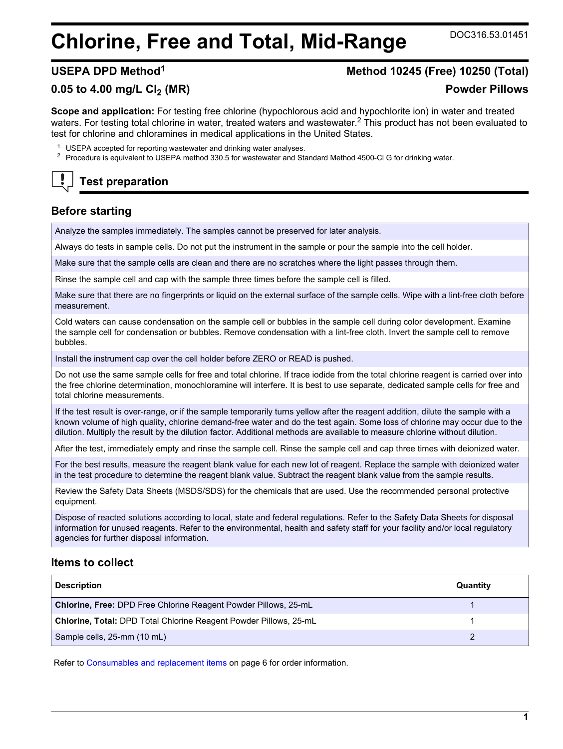# **Chlorine, Free and Total, Mid-Range** DOC316.53.01451

## **USEPA DPD Method<sup>1</sup> Method 10245 (Free) 10250 (Total)**

#### **0.05 to 4.00 mg/L Cl2 (MR) Powder Pillows**

**Scope and application:** For testing free chlorine (hypochlorous acid and hypochlorite ion) in water and treated waters. For testing total chlorine in water, treated waters and wastewater.<sup>2</sup> This product has not been evaluated to test for chlorine and chloramines in medical applications in the United States.

- <sup>1</sup> USEPA accepted for reporting wastewater and drinking water analyses.
- <sup>2</sup> Procedure is equivalent to USEPA method 330.5 for wastewater and Standard Method 4500-Cl G for drinking water.

# **Test preparation**

# **Before starting**

Analyze the samples immediately. The samples cannot be preserved for later analysis.

Always do tests in sample cells. Do not put the instrument in the sample or pour the sample into the cell holder.

Make sure that the sample cells are clean and there are no scratches where the light passes through them.

Rinse the sample cell and cap with the sample three times before the sample cell is filled.

Make sure that there are no fingerprints or liquid on the external surface of the sample cells. Wipe with a lint-free cloth before measurement.

Cold waters can cause condensation on the sample cell or bubbles in the sample cell during color development. Examine the sample cell for condensation or bubbles. Remove condensation with a lint-free cloth. Invert the sample cell to remove bubbles.

Install the instrument cap over the cell holder before ZERO or READ is pushed.

Do not use the same sample cells for free and total chlorine. If trace iodide from the total chlorine reagent is carried over into the free chlorine determination, monochloramine will interfere. It is best to use separate, dedicated sample cells for free and total chlorine measurements.

If the test result is over-range, or if the sample temporarily turns yellow after the reagent addition, dilute the sample with a known volume of high quality, chlorine demand-free water and do the test again. Some loss of chlorine may occur due to the dilution. Multiply the result by the dilution factor. Additional methods are available to measure chlorine without dilution.

After the test, immediately empty and rinse the sample cell. Rinse the sample cell and cap three times with deionized water.

For the best results, measure the reagent blank value for each new lot of reagent. Replace the sample with deionized water in the test procedure to determine the reagent blank value. Subtract the reagent blank value from the sample results.

Review the Safety Data Sheets (MSDS/SDS) for the chemicals that are used. Use the recommended personal protective equipment.

Dispose of reacted solutions according to local, state and federal regulations. Refer to the Safety Data Sheets for disposal information for unused reagents. Refer to the environmental, health and safety staff for your facility and/or local regulatory agencies for further disposal information.

#### **Items to collect**

| <b>Description</b>                                                       | Quantity |
|--------------------------------------------------------------------------|----------|
| <b>Chlorine, Free: DPD Free Chlorine Reagent Powder Pillows, 25-mL</b>   |          |
| <b>Chlorine, Total: DPD Total Chlorine Reagent Powder Pillows, 25-mL</b> |          |
| Sample cells, 25-mm (10 mL)                                              |          |

Refer to [Consumables and replacement items o](#page-5-0)n page 6 for order information.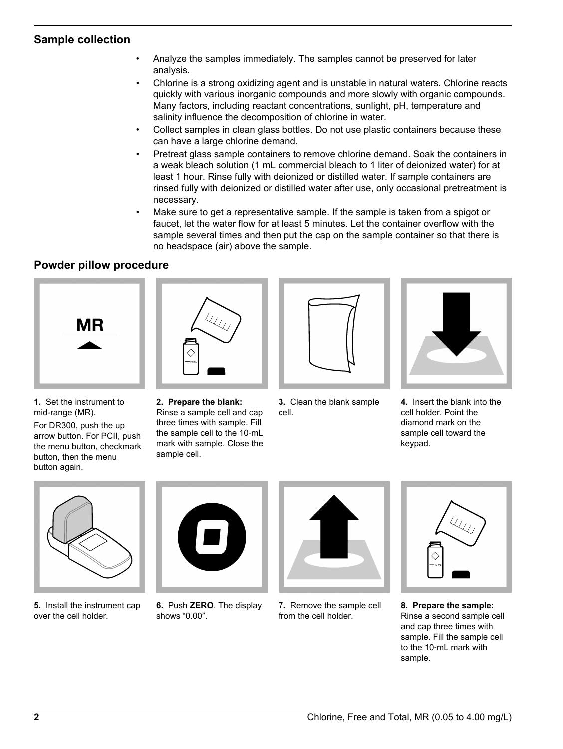### **Sample collection**

- Analyze the samples immediately. The samples cannot be preserved for later analysis.
- Chlorine is a strong oxidizing agent and is unstable in natural waters. Chlorine reacts quickly with various inorganic compounds and more slowly with organic compounds. Many factors, including reactant concentrations, sunlight, pH, temperature and salinity influence the decomposition of chlorine in water.
- Collect samples in clean glass bottles. Do not use plastic containers because these can have a large chlorine demand.
- Pretreat glass sample containers to remove chlorine demand. Soak the containers in a weak bleach solution (1 mL commercial bleach to 1 liter of deionized water) for at least 1 hour. Rinse fully with deionized or distilled water. If sample containers are rinsed fully with deionized or distilled water after use, only occasional pretreatment is necessary.
- Make sure to get a representative sample. If the sample is taken from a spigot or faucet, let the water flow for at least 5 minutes. Let the container overflow with the sample several times and then put the cap on the sample container so that there is no headspace (air) above the sample.

### **Powder pillow procedure**



**1.** Set the instrument to mid-range (MR).

For DR300, push the up arrow button. For PCII, push the menu button, checkmark button, then the menu button again.





**3.** Clean the blank sample cell.



**4.** Insert the blank into the cell holder. Point the diamond mark on the sample cell toward the keypad.



**5.** Install the instrument cap over the cell holder.



**6.** Push **ZERO**. The display shows "0.00".



**7.** Remove the sample cell from the cell holder.



**8. Prepare the sample:** Rinse a second sample cell and cap three times with sample. Fill the sample cell to the 10‑mL mark with sample.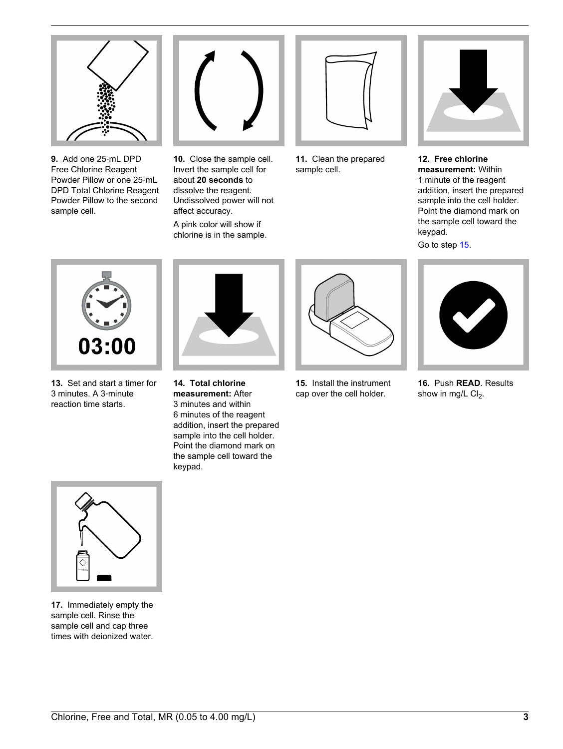

**9.** Add one 25‑mL DPD Free Chlorine Reagent Powder Pillow or one 25‑mL DPD Total Chlorine Reagent Powder Pillow to the second sample cell.



**10.** Close the sample cell. Invert the sample cell for about **20 seconds** to dissolve the reagent. Undissolved power will not affect accuracy. A pink color will show if chlorine is in the sample.



**11.** Clean the prepared sample cell.



**12. Free chlorine measurement:** Within 1 minute of the reagent addition, insert the prepared sample into the cell holder. Point the diamond mark on the sample cell toward the keypad.

Go to step [15](#page-2-0).



**13.** Set and start a timer for 3 minutes. A 3‑minute reaction time starts.



**14. Total chlorine measurement:** After 3 minutes and within 6 minutes of the reagent addition, insert the prepared sample into the cell holder. Point the diamond mark on the sample cell toward the keypad.



**15.** Install the instrument cap over the cell holder.



**16.** Push **READ**. Results show in mg/L  $Cl<sub>2</sub>$ .

<span id="page-2-0"></span>

**17.** Immediately empty the sample cell. Rinse the sample cell and cap three times with deionized water.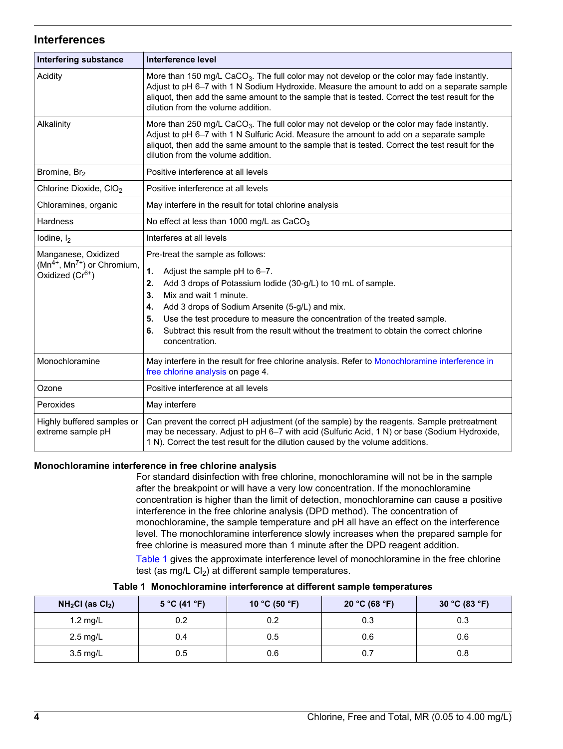#### **Interferences**

| <b>Interfering substance</b>                                                             | Interference level                                                                                                                                                                                                                                                                                                                                                                                                                             |  |  |
|------------------------------------------------------------------------------------------|------------------------------------------------------------------------------------------------------------------------------------------------------------------------------------------------------------------------------------------------------------------------------------------------------------------------------------------------------------------------------------------------------------------------------------------------|--|--|
| Acidity                                                                                  | More than 150 mg/L CaCO <sub>3</sub> . The full color may not develop or the color may fade instantly.<br>Adjust to pH 6-7 with 1 N Sodium Hydroxide. Measure the amount to add on a separate sample<br>aliquot, then add the same amount to the sample that is tested. Correct the test result for the<br>dilution from the volume addition.                                                                                                  |  |  |
| Alkalinity                                                                               | More than 250 mg/L CaCO <sub>3</sub> . The full color may not develop or the color may fade instantly.<br>Adjust to pH 6-7 with 1 N Sulfuric Acid. Measure the amount to add on a separate sample<br>aliquot, then add the same amount to the sample that is tested. Correct the test result for the<br>dilution from the volume addition.                                                                                                     |  |  |
| Bromine, Br <sub>2</sub>                                                                 | Positive interference at all levels                                                                                                                                                                                                                                                                                                                                                                                                            |  |  |
| Chlorine Dioxide, CIO <sub>2</sub>                                                       | Positive interference at all levels                                                                                                                                                                                                                                                                                                                                                                                                            |  |  |
| Chloramines, organic                                                                     | May interfere in the result for total chlorine analysis                                                                                                                                                                                                                                                                                                                                                                                        |  |  |
| <b>Hardness</b>                                                                          | No effect at less than 1000 mg/L as CaCO <sub>3</sub>                                                                                                                                                                                                                                                                                                                                                                                          |  |  |
| lodine, $I_2$                                                                            | Interferes at all levels                                                                                                                                                                                                                                                                                                                                                                                                                       |  |  |
| Manganese, Oxidized<br>$(Mn^{4+}, Mn^{7+})$ or Chromium,<br>Oxidized (Cr <sup>6+</sup> ) | Pre-treat the sample as follows:<br>1.<br>Adjust the sample pH to 6-7.<br>Add 3 drops of Potassium lodide (30-g/L) to 10 mL of sample.<br>2.<br>Mix and wait 1 minute.<br>3.<br>Add 3 drops of Sodium Arsenite (5-g/L) and mix.<br>4.<br>Use the test procedure to measure the concentration of the treated sample.<br>5.<br>Subtract this result from the result without the treatment to obtain the correct chlorine<br>6.<br>concentration. |  |  |
| Monochloramine                                                                           | May interfere in the result for free chlorine analysis. Refer to Monochloramine interference in<br>free chlorine analysis on page 4.                                                                                                                                                                                                                                                                                                           |  |  |
| Ozone                                                                                    | Positive interference at all levels                                                                                                                                                                                                                                                                                                                                                                                                            |  |  |
| Peroxides                                                                                | May interfere                                                                                                                                                                                                                                                                                                                                                                                                                                  |  |  |
| Highly buffered samples or<br>extreme sample pH                                          | Can prevent the correct pH adjustment (of the sample) by the reagents. Sample pretreatment<br>may be necessary. Adjust to pH 6-7 with acid (Sulfuric Acid, 1 N) or base (Sodium Hydroxide,<br>1 N). Correct the test result for the dilution caused by the volume additions.                                                                                                                                                                   |  |  |

#### **Monochloramine interference in free chlorine analysis**

For standard disinfection with free chlorine, monochloramine will not be in the sample after the breakpoint or will have a very low concentration. If the monochloramine concentration is higher than the limit of detection, monochloramine can cause a positive interference in the free chlorine analysis (DPD method). The concentration of monochloramine, the sample temperature and pH all have an effect on the interference level. The monochloramine interference slowly increases when the prepared sample for free chlorine is measured more than 1 minute after the DPD reagent addition.

[Table 1](#page-3-1) gives the approximate interference level of monochloramine in the free chlorine test (as mg/L  $Cl<sub>2</sub>$ ) at different sample temperatures.

<span id="page-3-1"></span><span id="page-3-0"></span>

| $NH2Cl$ (as $Cl2$ ) | 5 °C (41 °F) | 10 °C (50 °F) | 20 °C (68 °F) | 30 °C (83 °F) |
|---------------------|--------------|---------------|---------------|---------------|
| 1.2 mg/L            | 0.2          | 0.2           | 0.3           | 0.3           |
| $2.5 \text{ mg/L}$  | 0.4          | 0.5           | 0.6           | 0.6           |
| 3.5 mg/L            | 0.5          | 0.6           | 0.7           | 0.8           |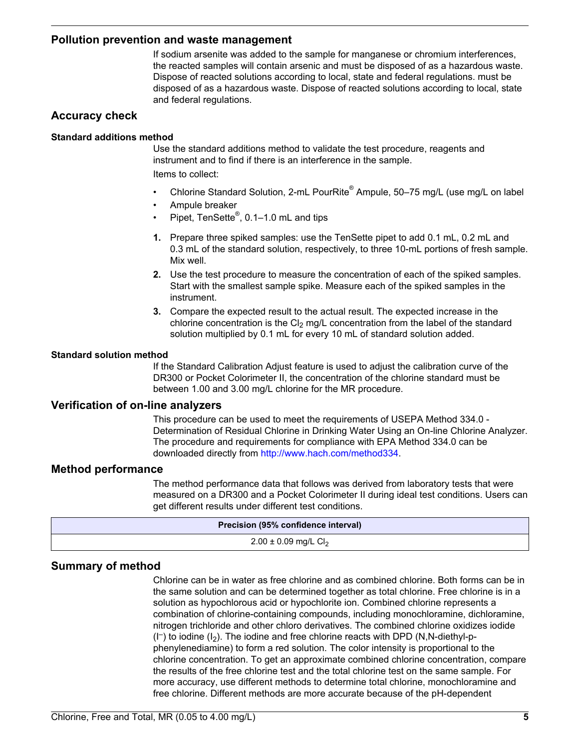#### **Pollution prevention and waste management**

If sodium arsenite was added to the sample for manganese or chromium interferences, the reacted samples will contain arsenic and must be disposed of as a hazardous waste. Dispose of reacted solutions according to local, state and federal regulations. must be disposed of as a hazardous waste. Dispose of reacted solutions according to local, state and federal regulations.

#### **Accuracy check**

#### **Standard additions method**

Use the standard additions method to validate the test procedure, reagents and instrument and to find if there is an interference in the sample. Items to collect:

- Chlorine Standard Solution, 2-mL PourRite® Ampule, 50–75 mg/L (use mg/L on label
- Ampule breaker
- Pipet, TenSette<sup>®</sup>, 0.1–1.0 mL and tips
- **1.** Prepare three spiked samples: use the TenSette pipet to add 0.1 mL, 0.2 mL and 0.3 mL of the standard solution, respectively, to three 10-mL portions of fresh sample. Mix well.
- **2.** Use the test procedure to measure the concentration of each of the spiked samples. Start with the smallest sample spike. Measure each of the spiked samples in the instrument.
- **3.** Compare the expected result to the actual result. The expected increase in the chlorine concentration is the  $Cl<sub>2</sub>$  mg/L concentration from the label of the standard solution multiplied by 0.1 mL for every 10 mL of standard solution added.

#### **Standard solution method**

If the Standard Calibration Adjust feature is used to adjust the calibration curve of the DR300 or Pocket Colorimeter II, the concentration of the chlorine standard must be between 1.00 and 3.00 mg/L chlorine for the MR procedure.

#### **Verification of on-line analyzers**

This procedure can be used to meet the requirements of USEPA Method 334.0 - Determination of Residual Chlorine in Drinking Water Using an On-line Chlorine Analyzer. The procedure and requirements for compliance with EPA Method 334.0 can be downloaded directly from [http://www.hach.com/method334.](http://www.hach.com/method334)

#### **Method performance**

The method performance data that follows was derived from laboratory tests that were measured on a DR300 and a Pocket Colorimeter II during ideal test conditions. Users can get different results under different test conditions.

| Precision (95% confidence interval)  |  |  |
|--------------------------------------|--|--|
| $2.00 \pm 0.09$ mg/L Cl <sub>2</sub> |  |  |
|                                      |  |  |

#### **Summary of method**

Chlorine can be in water as free chlorine and as combined chlorine. Both forms can be in the same solution and can be determined together as total chlorine. Free chlorine is in a solution as hypochlorous acid or hypochlorite ion. Combined chlorine represents a combination of chlorine-containing compounds, including monochloramine, dichloramine, nitrogen trichloride and other chloro derivatives. The combined chlorine oxidizes iodide (I– ) to iodine (I2). The iodine and free chlorine reacts with DPD (N,N-diethyl-pphenylenediamine) to form a red solution. The color intensity is proportional to the chlorine concentration. To get an approximate combined chlorine concentration, compare the results of the free chlorine test and the total chlorine test on the same sample. For more accuracy, use different methods to determine total chlorine, monochloramine and free chlorine. Different methods are more accurate because of the pH-dependent